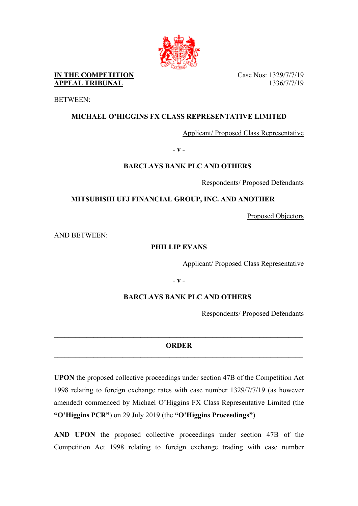

**IN THE COMPETITION** Case Nos: 1329/7/7/19 **APPEAL TRIBUNAL** 1336/7/7/19

BETWEEN:

## **MICHAEL O'HIGGINS FX CLASS REPRESENTATIVE LIMITED**

Applicant/ Proposed Class Representative

**- v -**

## **BARCLAYS BANK PLC AND OTHERS**

Respondents/ Proposed Defendants

**MITSUBISHI UFJ FINANCIAL GROUP, INC. AND ANOTHER**

Proposed Objectors

AND BETWEEN:

## **PHILLIP EVANS**

Applicant/ Proposed Class Representative

**- v -**

## **BARCLAYS BANK PLC AND OTHERS**

Respondents/ Proposed Defendants

# **\_\_\_\_\_\_\_\_\_\_\_\_\_\_\_\_\_\_\_\_\_\_\_\_\_\_\_\_\_\_\_\_\_\_\_\_\_\_\_\_\_\_\_\_\_\_\_\_\_\_\_\_\_\_\_\_\_\_\_\_\_\_\_\_\_\_\_\_\_ ORDER**

**UPON** the proposed collective proceedings under section 47B of the Competition Act 1998 relating to foreign exchange rates with case number 1329/7/7/19 (as however amended) commenced by Michael O'Higgins FX Class Representative Limited (the **"O'Higgins PCR"**) on 29 July 2019 (the **"O'Higgins Proceedings"**)

**AND UPON** the proposed collective proceedings under section 47B of the Competition Act 1998 relating to foreign exchange trading with case number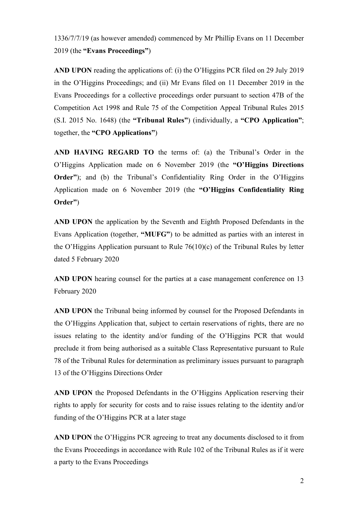1336/7/7/19 (as however amended) commenced by Mr Phillip Evans on 11 December 2019 (the **"Evans Proceedings"**)

**AND UPON** reading the applications of: (i) the O'Higgins PCR filed on 29 July 2019 in the O'Higgins Proceedings; and (ii) Mr Evans filed on 11 December 2019 in the Evans Proceedings for a collective proceedings order pursuant to section 47B of the Competition Act 1998 and Rule 75 of the Competition Appeal Tribunal Rules 2015 (S.I. 2015 No. 1648) (the **"Tribunal Rules"**) (individually, a **"CPO Application"**; together, the **"CPO Applications"**)

**AND HAVING REGARD TO** the terms of: (a) the Tribunal's Order in the O'Higgins Application made on 6 November 2019 (the **"O'Higgins Directions Order**"); and (b) the Tribunal's Confidentiality Ring Order in the O'Higgins Application made on 6 November 2019 (the **"O'Higgins Confidentiality Ring Order"**)

**AND UPON** the application by the Seventh and Eighth Proposed Defendants in the Evans Application (together, **"MUFG"**) to be admitted as parties with an interest in the O'Higgins Application pursuant to Rule 76(10)(c) of the Tribunal Rules by letter dated 5 February 2020

**AND UPON** hearing counsel for the parties at a case management conference on 13 February 2020

**AND UPON** the Tribunal being informed by counsel for the Proposed Defendants in the O'Higgins Application that, subject to certain reservations of rights, there are no issues relating to the identity and/or funding of the O'Higgins PCR that would preclude it from being authorised as a suitable Class Representative pursuant to Rule 78 of the Tribunal Rules for determination as preliminary issues pursuant to paragraph 13 of the O'Higgins Directions Order

**AND UPON** the Proposed Defendants in the O'Higgins Application reserving their rights to apply for security for costs and to raise issues relating to the identity and/or funding of the O'Higgins PCR at a later stage

**AND UPON** the O'Higgins PCR agreeing to treat any documents disclosed to it from the Evans Proceedings in accordance with Rule 102 of the Tribunal Rules as if it were a party to the Evans Proceedings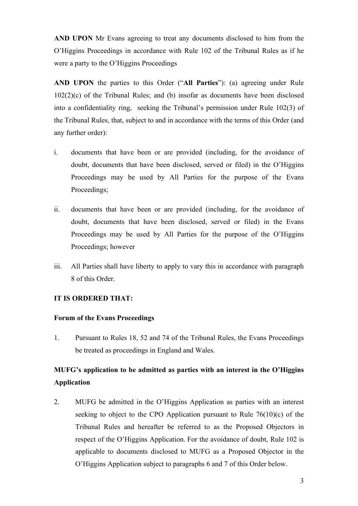**AND UPON** Mr Evans agreeing to treat any documents disclosed to him from the O'Higgins Proceedings in accordance with Rule 102 of the Tribunal Rules as if he were a party to the O'Higgins Proceedings

**AND UPON** the parties to this Order ("**All Parties**"): (a) agreeing under Rule 102(2)(c) of the Tribunal Rules; and (b) insofar as documents have been disclosed into a confidentiality ring, seeking the Tribunal's permission under Rule 102(3) of the Tribunal Rules, that, subject to and in accordance with the terms of this Order (and any further order):

- i. documents that have been or are provided (including, for the avoidance of doubt, documents that have been disclosed, served or filed) in the O'Higgins Proceedings may be used by All Parties for the purpose of the Evans Proceedings;
- ii. documents that have been or are provided (including, for the avoidance of doubt, documents that have been disclosed, served or filed) in the Evans Proceedings may be used by All Parties for the purpose of the O'Higgins Proceedings; however
- iii. All Parties shall have liberty to apply to vary this in accordance with paragraph [8](#page-5-0) of this Order.

### **IT IS ORDERED THAT:**

### **Forum of the Evans Proceedings**

1. Pursuant to Rules 18, 52 and 74 of the Tribunal Rules, the Evans Proceedings be treated as proceedings in England and Wales.

# **MUFG's application to be admitted as parties with an interest in the O'Higgins Application**

2. MUFG be admitted in the O'Higgins Application as parties with an interest seeking to object to the CPO Application pursuant to Rule  $76(10)(c)$  of the Tribunal Rules and hereafter be referred to as the Proposed Objectors in respect of the O'Higgins Application. For the avoidance of doubt, Rule 102 is applicable to documents disclosed to MUFG as a Proposed Objector in the O'Higgins Application subject to paragraphs 6 and 7 of this Order below.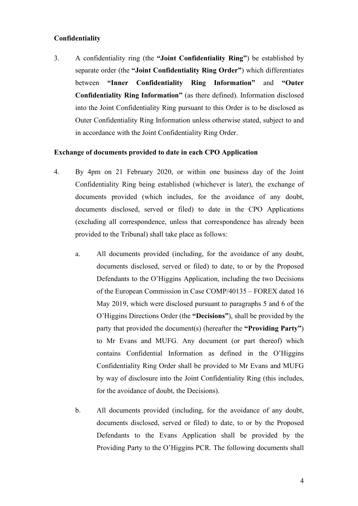### **Confidentiality**

3. A confidentiality ring (the **"Joint Confidentiality Ring"**) be established by separate order (the **"Joint Confidentiality Ring Order"**) which differentiates between **"Inner Confidentiality Ring Information"** and **"Outer Confidentiality Ring Information"** (as there defined). Information disclosed into the Joint Confidentiality Ring pursuant to this Order is to be disclosed as Outer Confidentiality Ring Information unless otherwise stated, subject to and in accordance with the Joint Confidentiality Ring Order.

### **Exchange of documents provided to date in each CPO Application**

- <span id="page-3-0"></span>4. By 4pm on 21 February 2020, or within one business day of the Joint Confidentiality Ring being established (whichever is later), the exchange of documents provided (which includes, for the avoidance of any doubt, documents disclosed, served or filed) to date in the CPO Applications (excluding all correspondence, unless that correspondence has already been provided to the Tribunal) shall take place as follows:
	- a. All documents provided (including, for the avoidance of any doubt, documents disclosed, served or filed) to date, to or by the Proposed Defendants to the O'Higgins Application, including the two Decisions of the European Commission in Case COMP/40135 – FOREX dated 16 May 2019, which were disclosed pursuant to paragraphs 5 and 6 of the O'Higgins Directions Order (the **"Decisions"**), shall be provided by the party that provided the document(s) (hereafter the **"Providing Party"**) to Mr Evans and MUFG. Any document (or part thereof) which contains Confidential Information as defined in the O'Higgins Confidentiality Ring Order shall be provided to Mr Evans and MUFG by way of disclosure into the Joint Confidentiality Ring (this includes, for the avoidance of doubt, the Decisions).
	- b. All documents provided (including, for the avoidance of any doubt, documents disclosed, served or filed) to date, to or by the Proposed Defendants to the Evans Application shall be provided by the Providing Party to the O'Higgins PCR. The following documents shall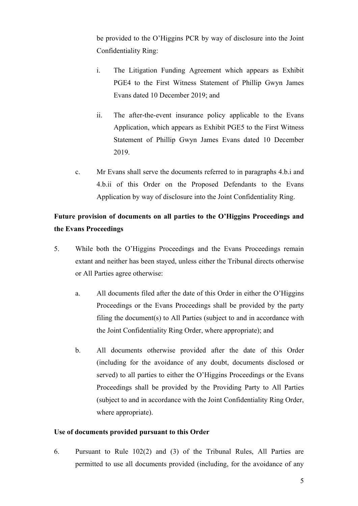be provided to the O'Higgins PCR by way of disclosure into the Joint Confidentiality Ring:

- <span id="page-4-0"></span>i. The Litigation Funding Agreement which appears as Exhibit PGE4 to the First Witness Statement of Phillip Gwyn James Evans dated 10 December 2019; and
- <span id="page-4-1"></span>ii. The after-the-event insurance policy applicable to the Evans Application, which appears as Exhibit PGE5 to the First Witness Statement of Phillip Gwyn James Evans dated 10 December 2019.
- c. Mr Evans shall serve the documents referred to in paragraphs [4.b.i](#page-4-0) and [4.b.ii](#page-4-1) of this Order on the Proposed Defendants to the Evans Application by way of disclosure into the Joint Confidentiality Ring.

# **Future provision of documents on all parties to the O'Higgins Proceedings and the Evans Proceedings**

- 5. While both the O'Higgins Proceedings and the Evans Proceedings remain extant and neither has been stayed, unless either the Tribunal directs otherwise or All Parties agree otherwise:
	- a. All documents filed after the date of this Order in either the O'Higgins Proceedings or the Evans Proceedings shall be provided by the party filing the document(s) to All Parties (subject to and in accordance with the Joint Confidentiality Ring Order, where appropriate); and
	- b. All documents otherwise provided after the date of this Order (including for the avoidance of any doubt, documents disclosed or served) to all parties to either the O'Higgins Proceedings or the Evans Proceedings shall be provided by the Providing Party to All Parties (subject to and in accordance with the Joint Confidentiality Ring Order, where appropriate).

### **Use of documents provided pursuant to this Order**

<span id="page-4-2"></span>6. Pursuant to Rule 102(2) and (3) of the Tribunal Rules, All Parties are permitted to use all documents provided (including, for the avoidance of any